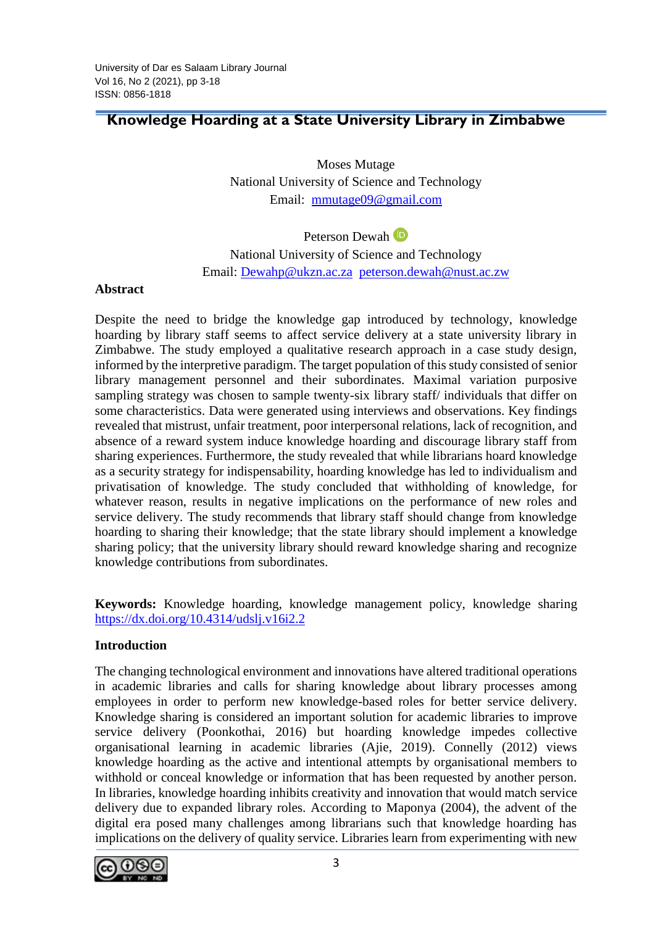# **Knowledge Hoarding at a State University Library in Zimbabwe**

Moses Mutage National University of Science and Technology Email:[mmutage09@gmail.com](mailto:mmutage09@gmail.com)

PetersonDewah<sup>D</sup> National University of Science and Technology Email: [Dewahp@ukzn.ac.za](mailto:Dewahp@ukzn.ac.za) [peterson.dewah@nust.ac.zw](mailto:peterson.dewah@nust.ac.zw)

#### **Abstract**

Despite the need to bridge the knowledge gap introduced by technology, knowledge hoarding by library staff seems to affect service delivery at a state university library in Zimbabwe. The study employed a qualitative research approach in a case study design, informed by the interpretive paradigm. The target population of this study consisted of senior library management personnel and their subordinates. Maximal variation purposive sampling strategy was chosen to sample twenty-six library staff/ individuals that differ on some characteristics. Data were generated using interviews and observations. Key findings revealed that mistrust, unfair treatment, poor interpersonal relations, lack of recognition, and absence of a reward system induce knowledge hoarding and discourage library staff from sharing experiences. Furthermore, the study revealed that while librarians hoard knowledge as a security strategy for indispensability, hoarding knowledge has led to individualism and privatisation of knowledge. The study concluded that withholding of knowledge, for whatever reason, results in negative implications on the performance of new roles and service delivery. The study recommends that library staff should change from knowledge hoarding to sharing their knowledge; that the state library should implement a knowledge sharing policy; that the university library should reward knowledge sharing and recognize knowledge contributions from subordinates.

**Keywords:** Knowledge hoarding, knowledge management policy, knowledge sharing <https://dx.doi.org/10.4314/udslj.v16i2.2>

### **Introduction**

The changing technological environment and innovations have altered traditional operations in academic libraries and calls for sharing knowledge about library processes among employees in order to perform new knowledge-based roles for better service delivery. Knowledge sharing is considered an important solution for academic libraries to improve service delivery (Poonkothai, 2016) but hoarding knowledge impedes collective organisational learning in academic libraries (Ajie, 2019). Connelly (2012) views knowledge hoarding as the active and intentional attempts by organisational members to withhold or conceal knowledge or information that has been requested by another person. In libraries, knowledge hoarding inhibits creativity and innovation that would match service delivery due to expanded library roles. According to Maponya (2004), the advent of the digital era posed many challenges among librarians such that knowledge hoarding has implications on the delivery of quality service. Libraries learn from experimenting with new

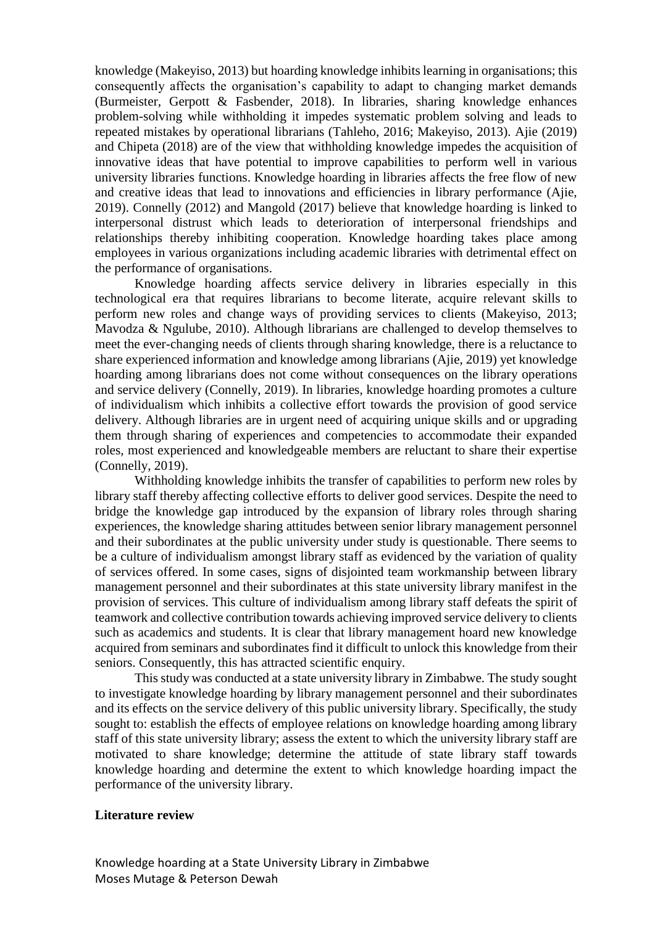knowledge (Makeyiso, 2013) but hoarding knowledge inhibits learning in organisations; this consequently affects the organisation's capability to adapt to changing market demands (Burmeister, Gerpott & Fasbender, 2018). In libraries, sharing knowledge enhances problem-solving while withholding it impedes systematic problem solving and leads to repeated mistakes by operational librarians (Tahleho, 2016; Makeyiso, 2013). Ajie (2019) and Chipeta (2018) are of the view that withholding knowledge impedes the acquisition of innovative ideas that have potential to improve capabilities to perform well in various university libraries functions. Knowledge hoarding in libraries affects the free flow of new and creative ideas that lead to innovations and efficiencies in library performance (Ajie, 2019). Connelly (2012) and Mangold (2017) believe that knowledge hoarding is linked to interpersonal distrust which leads to deterioration of interpersonal friendships and relationships thereby inhibiting cooperation. Knowledge hoarding takes place among employees in various organizations including academic libraries with detrimental effect on the performance of organisations.

Knowledge hoarding affects service delivery in libraries especially in this technological era that requires librarians to become literate, acquire relevant skills to perform new roles and change ways of providing services to clients (Makeyiso, 2013; Mavodza & Ngulube, 2010). Although librarians are challenged to develop themselves to meet the ever-changing needs of clients through sharing knowledge, there is a reluctance to share experienced information and knowledge among librarians (Ajie, 2019) yet knowledge hoarding among librarians does not come without consequences on the library operations and service delivery (Connelly, 2019). In libraries, knowledge hoarding promotes a culture of individualism which inhibits a collective effort towards the provision of good service delivery. Although libraries are in urgent need of acquiring unique skills and or upgrading them through sharing of experiences and competencies to accommodate their expanded roles, most experienced and knowledgeable members are reluctant to share their expertise (Connelly, 2019).

Withholding knowledge inhibits the transfer of capabilities to perform new roles by library staff thereby affecting collective efforts to deliver good services. Despite the need to bridge the knowledge gap introduced by the expansion of library roles through sharing experiences, the knowledge sharing attitudes between senior library management personnel and their subordinates at the public university under study is questionable. There seems to be a culture of individualism amongst library staff as evidenced by the variation of quality of services offered. In some cases, signs of disjointed team workmanship between library management personnel and their subordinates at this state university library manifest in the provision of services. This culture of individualism among library staff defeats the spirit of teamwork and collective contribution towards achieving improved service delivery to clients such as academics and students. It is clear that library management hoard new knowledge acquired from seminars and subordinates find it difficult to unlock this knowledge from their seniors. Consequently, this has attracted scientific enquiry.

This study was conducted at a state university library in Zimbabwe. The study sought to investigate knowledge hoarding by library management personnel and their subordinates and its effects on the service delivery of this public university library. Specifically, the study sought to: establish the effects of employee relations on knowledge hoarding among library staff of this state university library; assess the extent to which the university library staff are motivated to share knowledge; determine the attitude of state library staff towards knowledge hoarding and determine the extent to which knowledge hoarding impact the performance of the university library.

#### **Literature review**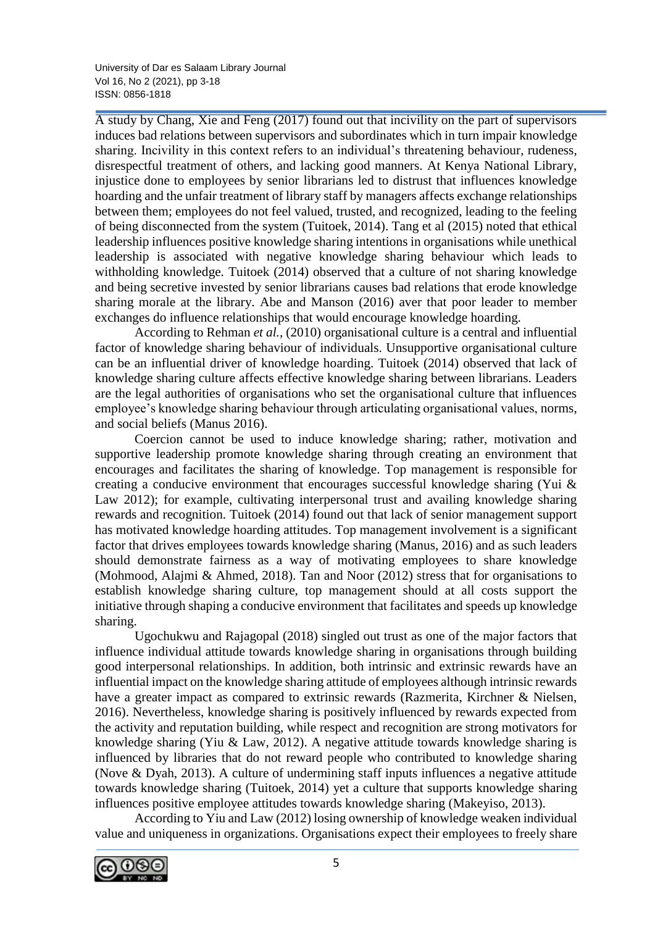University of Dar es Salaam Library Journal Vol 16, No 2 (2021), pp 3-18 ISSN: 0856-1818

A study by Chang, Xie and Feng (2017) found out that incivility on the part of supervisors induces bad relations between supervisors and subordinates which in turn impair knowledge sharing. Incivility in this context refers to an individual's threatening behaviour, rudeness, disrespectful treatment of others, and lacking good manners. At Kenya National Library, injustice done to employees by senior librarians led to distrust that influences knowledge hoarding and the unfair treatment of library staff by managers affects exchange relationships between them; employees do not feel valued, trusted, and recognized, leading to the feeling of being disconnected from the system (Tuitoek, 2014). Tang et al (2015) noted that ethical leadership influences positive knowledge sharing intentions in organisations while unethical leadership is associated with negative knowledge sharing behaviour which leads to withholding knowledge. Tuitoek (2014) observed that a culture of not sharing knowledge and being secretive invested by senior librarians causes bad relations that erode knowledge sharing morale at the library. Abe and Manson (2016) aver that poor leader to member exchanges do influence relationships that would encourage knowledge hoarding.

According to Rehman *et al.,* (2010) organisational culture is a central and influential factor of knowledge sharing behaviour of individuals. Unsupportive organisational culture can be an influential driver of knowledge hoarding. Tuitoek (2014) observed that lack of knowledge sharing culture affects effective knowledge sharing between librarians. Leaders are the legal authorities of organisations who set the organisational culture that influences employee's knowledge sharing behaviour through articulating organisational values, norms, and social beliefs (Manus 2016).

Coercion cannot be used to induce knowledge sharing; rather, motivation and supportive leadership promote knowledge sharing through creating an environment that encourages and facilitates the sharing of knowledge. Top management is responsible for creating a conducive environment that encourages successful knowledge sharing (Yui & Law 2012); for example, cultivating interpersonal trust and availing knowledge sharing rewards and recognition. Tuitoek (2014) found out that lack of senior management support has motivated knowledge hoarding attitudes. Top management involvement is a significant factor that drives employees towards knowledge sharing (Manus, 2016) and as such leaders should demonstrate fairness as a way of motivating employees to share knowledge (Mohmood, Alajmi & Ahmed, 2018). Tan and Noor (2012) stress that for organisations to establish knowledge sharing culture, top management should at all costs support the initiative through shaping a conducive environment that facilitates and speeds up knowledge sharing.

Ugochukwu and Rajagopal (2018) singled out trust as one of the major factors that influence individual attitude towards knowledge sharing in organisations through building good interpersonal relationships. In addition, both intrinsic and extrinsic rewards have an influential impact on the knowledge sharing attitude of employees although intrinsic rewards have a greater impact as compared to extrinsic rewards (Razmerita, Kirchner & Nielsen, 2016). Nevertheless, knowledge sharing is positively influenced by rewards expected from the activity and reputation building, while respect and recognition are strong motivators for knowledge sharing (Yiu & Law, 2012). A negative attitude towards knowledge sharing is influenced by libraries that do not reward people who contributed to knowledge sharing (Nove & Dyah, 2013). A culture of undermining staff inputs influences a negative attitude towards knowledge sharing (Tuitoek, 2014) yet a culture that supports knowledge sharing influences positive employee attitudes towards knowledge sharing (Makeyiso, 2013).

According to Yiu and Law (2012) losing ownership of knowledge weaken individual value and uniqueness in organizations. Organisations expect their employees to freely share

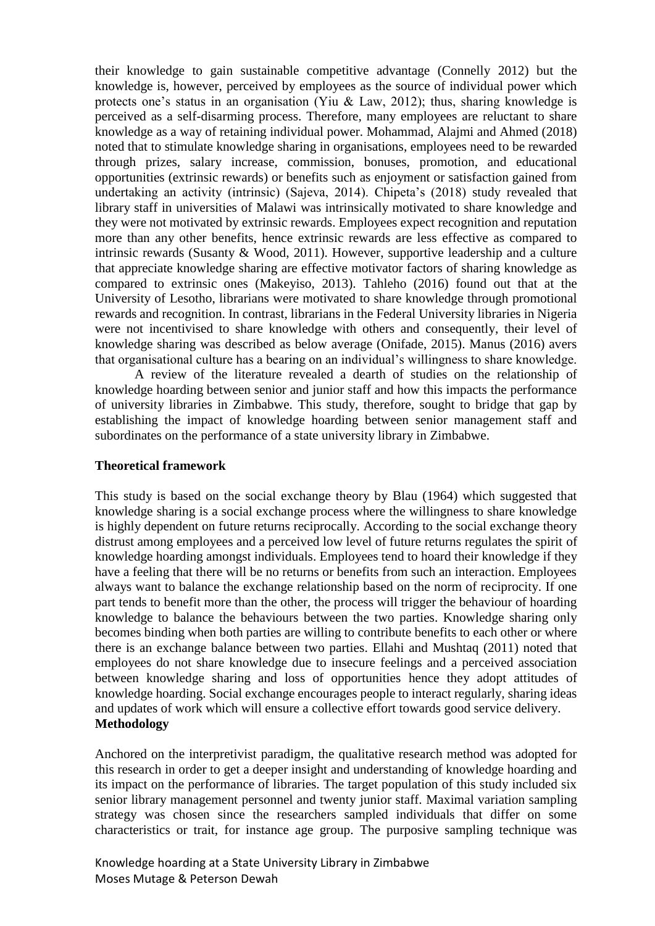their knowledge to gain sustainable competitive advantage (Connelly 2012) but the knowledge is, however, perceived by employees as the source of individual power which protects one's status in an organisation (Yiu & Law, 2012); thus, sharing knowledge is perceived as a self-disarming process. Therefore, many employees are reluctant to share knowledge as a way of retaining individual power. Mohammad, Alajmi and Ahmed (2018) noted that to stimulate knowledge sharing in organisations, employees need to be rewarded through prizes, salary increase, commission, bonuses, promotion, and educational opportunities (extrinsic rewards) or benefits such as enjoyment or satisfaction gained from undertaking an activity (intrinsic) (Sajeva, 2014). Chipeta's (2018) study revealed that library staff in universities of Malawi was intrinsically motivated to share knowledge and they were not motivated by extrinsic rewards. Employees expect recognition and reputation more than any other benefits, hence extrinsic rewards are less effective as compared to intrinsic rewards (Susanty & Wood, 2011). However, supportive leadership and a culture that appreciate knowledge sharing are effective motivator factors of sharing knowledge as compared to extrinsic ones (Makeyiso, 2013). Tahleho (2016) found out that at the University of Lesotho, librarians were motivated to share knowledge through promotional rewards and recognition. In contrast, librarians in the Federal University libraries in Nigeria were not incentivised to share knowledge with others and consequently, their level of knowledge sharing was described as below average (Onifade, 2015). Manus (2016) avers that organisational culture has a bearing on an individual's willingness to share knowledge.

A review of the literature revealed a dearth of studies on the relationship of knowledge hoarding between senior and junior staff and how this impacts the performance of university libraries in Zimbabwe. This study, therefore, sought to bridge that gap by establishing the impact of knowledge hoarding between senior management staff and subordinates on the performance of a state university library in Zimbabwe.

#### **Theoretical framework**

This study is based on the social exchange theory by Blau (1964) which suggested that knowledge sharing is a social exchange process where the willingness to share knowledge is highly dependent on future returns reciprocally. According to the social exchange theory distrust among employees and a perceived low level of future returns regulates the spirit of knowledge hoarding amongst individuals. Employees tend to hoard their knowledge if they have a feeling that there will be no returns or benefits from such an interaction. Employees always want to balance the exchange relationship based on the norm of reciprocity. If one part tends to benefit more than the other, the process will trigger the behaviour of hoarding knowledge to balance the behaviours between the two parties. Knowledge sharing only becomes binding when both parties are willing to contribute benefits to each other or where there is an exchange balance between two parties. Ellahi and Mushtaq (2011) noted that employees do not share knowledge due to insecure feelings and a perceived association between knowledge sharing and loss of opportunities hence they adopt attitudes of knowledge hoarding. Social exchange encourages people to interact regularly, sharing ideas and updates of work which will ensure a collective effort towards good service delivery. **Methodology**

Anchored on the interpretivist paradigm, the qualitative research method was adopted for this research in order to get a deeper insight and understanding of knowledge hoarding and its impact on the performance of libraries. The target population of this study included six senior library management personnel and twenty junior staff. Maximal variation sampling strategy was chosen since the researchers sampled individuals that differ on some characteristics or trait, for instance age group. The purposive sampling technique was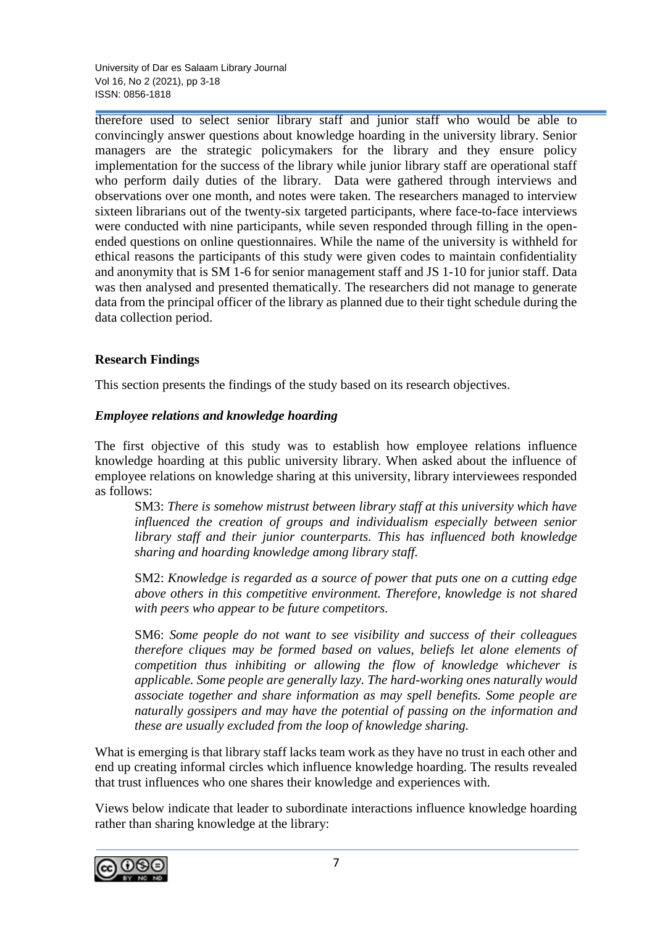University of Dar es Salaam Library Journal Vol 16, No 2 (2021), pp 3-18 ISSN: 0856-1818

therefore used to select senior library staff and junior staff who would be able to convincingly answer questions about knowledge hoarding in the university library. Senior managers are the strategic policymakers for the library and they ensure policy implementation for the success of the library while junior library staff are operational staff who perform daily duties of the library. Data were gathered through interviews and observations over one month, and notes were taken. The researchers managed to interview sixteen librarians out of the twenty-six targeted participants, where face-to-face interviews were conducted with nine participants, while seven responded through filling in the openended questions on online questionnaires. While the name of the university is withheld for ethical reasons the participants of this study were given codes to maintain confidentiality and anonymity that is SM 1-6 for senior management staff and JS 1-10 for junior staff. Data was then analysed and presented thematically. The researchers did not manage to generate data from the principal officer of the library as planned due to their tight schedule during the data collection period.

## **Research Findings**

This section presents the findings of the study based on its research objectives.

### *Employee relations and knowledge hoarding*

The first objective of this study was to establish how employee relations influence knowledge hoarding at this public university library. When asked about the influence of employee relations on knowledge sharing at this university, library interviewees responded as follows:

SM3: *There is somehow mistrust between library staff at this university which have influenced the creation of groups and individualism especially between senior library staff and their junior counterparts. This has influenced both knowledge sharing and hoarding knowledge among library staff.*

SM2: *Knowledge is regarded as a source of power that puts one on a cutting edge above others in this competitive environment. Therefore, knowledge is not shared with peers who appear to be future competitors.*

SM6: *Some people do not want to see visibility and success of their colleagues therefore cliques may be formed based on values, beliefs let alone elements of competition thus inhibiting or allowing the flow of knowledge whichever is applicable. Some people are generally lazy. The hard-working ones naturally would associate together and share information as may spell benefits. Some people are naturally gossipers and may have the potential of passing on the information and these are usually excluded from the loop of knowledge sharing.*

What is emerging is that library staff lacks team work as they have no trust in each other and end up creating informal circles which influence knowledge hoarding. The results revealed that trust influences who one shares their knowledge and experiences with.

Views below indicate that leader to subordinate interactions influence knowledge hoarding rather than sharing knowledge at the library:

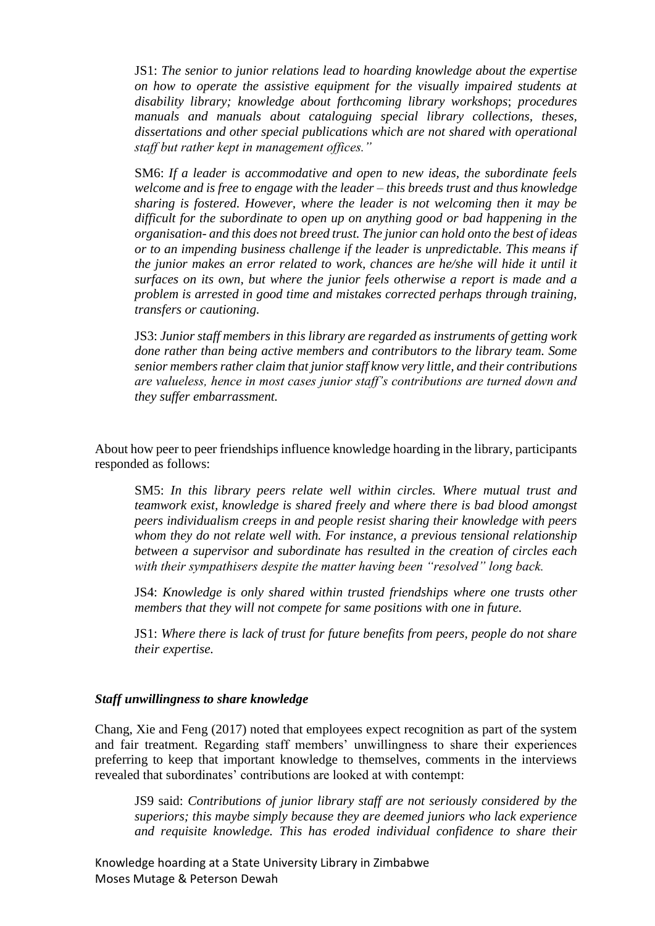JS1: *The senior to junior relations lead to hoarding knowledge about the expertise on how to operate the assistive equipment for the visually impaired students at disability library; knowledge about forthcoming library workshops*; *procedures manuals and manuals about cataloguing special library collections, theses, dissertations and other special publications which are not shared with operational staff but rather kept in management offices."*

SM6: *If a leader is accommodative and open to new ideas, the subordinate feels welcome and is free to engage with the leader – this breeds trust and thus knowledge sharing is fostered. However, where the leader is not welcoming then it may be difficult for the subordinate to open up on anything good or bad happening in the organisation- and this does not breed trust. The junior can hold onto the best of ideas or to an impending business challenge if the leader is unpredictable. This means if the junior makes an error related to work, chances are he/she will hide it until it surfaces on its own, but where the junior feels otherwise a report is made and a problem is arrested in good time and mistakes corrected perhaps through training, transfers or cautioning.*

JS3: *Junior staff members in this library are regarded as instruments of getting work done rather than being active members and contributors to the library team. Some senior members rather claim that junior staff know very little, and their contributions are valueless, hence in most cases junior staff's contributions are turned down and they suffer embarrassment.*

About how peer to peer friendships influence knowledge hoarding in the library, participants responded as follows:

SM5: *In this library peers relate well within circles. Where mutual trust and teamwork exist, knowledge is shared freely and where there is bad blood amongst peers individualism creeps in and people resist sharing their knowledge with peers whom they do not relate well with. For instance, a previous tensional relationship between a supervisor and subordinate has resulted in the creation of circles each with their sympathisers despite the matter having been "resolved" long back.*

JS4: *Knowledge is only shared within trusted friendships where one trusts other members that they will not compete for same positions with one in future.*

JS1: *Where there is lack of trust for future benefits from peers, people do not share their expertise.*

#### *Staff unwillingness to share knowledge*

Chang, Xie and Feng (2017) noted that employees expect recognition as part of the system and fair treatment. Regarding staff members' unwillingness to share their experiences preferring to keep that important knowledge to themselves, comments in the interviews revealed that subordinates' contributions are looked at with contempt:

JS9 said: *Contributions of junior library staff are not seriously considered by the superiors; this maybe simply because they are deemed juniors who lack experience and requisite knowledge. This has eroded individual confidence to share their*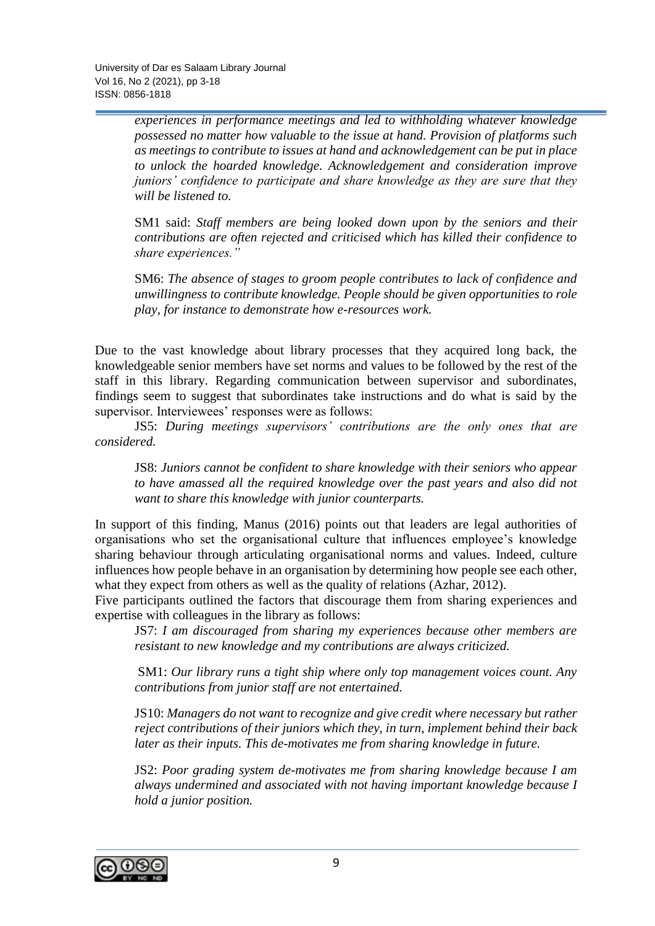*experiences in performance meetings and led to withholding whatever knowledge possessed no matter how valuable to the issue at hand. Provision of platforms such as meetings to contribute to issues at hand and acknowledgement can be put in place to unlock the hoarded knowledge. Acknowledgement and consideration improve juniors' confidence to participate and share knowledge as they are sure that they will be listened to.*

SM1 said: *Staff members are being looked down upon by the seniors and their contributions are often rejected and criticised which has killed their confidence to share experiences."*

SM6: *The absence of stages to groom people contributes to lack of confidence and unwillingness to contribute knowledge. People should be given opportunities to role play, for instance to demonstrate how e-resources work.*

Due to the vast knowledge about library processes that they acquired long back, the knowledgeable senior members have set norms and values to be followed by the rest of the staff in this library. Regarding communication between supervisor and subordinates, findings seem to suggest that subordinates take instructions and do what is said by the supervisor. Interviewees' responses were as follows:

JS5: *During meetings supervisors' contributions are the only ones that are considered.*

JS8: *Juniors cannot be confident to share knowledge with their seniors who appear to have amassed all the required knowledge over the past years and also did not want to share this knowledge with junior counterparts.*

In support of this finding, Manus (2016) points out that leaders are legal authorities of organisations who set the organisational culture that influences employee's knowledge sharing behaviour through articulating organisational norms and values. Indeed, culture influences how people behave in an organisation by determining how people see each other, what they expect from others as well as the quality of relations (Azhar, 2012).

Five participants outlined the factors that discourage them from sharing experiences and expertise with colleagues in the library as follows:

JS7: *I am discouraged from sharing my experiences because other members are resistant to new knowledge and my contributions are always criticized.*

SM1: *Our library runs a tight ship where only top management voices count. Any contributions from junior staff are not entertained.*

JS10: *Managers do not want to recognize and give credit where necessary but rather reject contributions of their juniors which they, in turn, implement behind their back later as their inputs. This de-motivates me from sharing knowledge in future.*

JS2: *Poor grading system de-motivates me from sharing knowledge because I am always undermined and associated with not having important knowledge because I hold a junior position.*

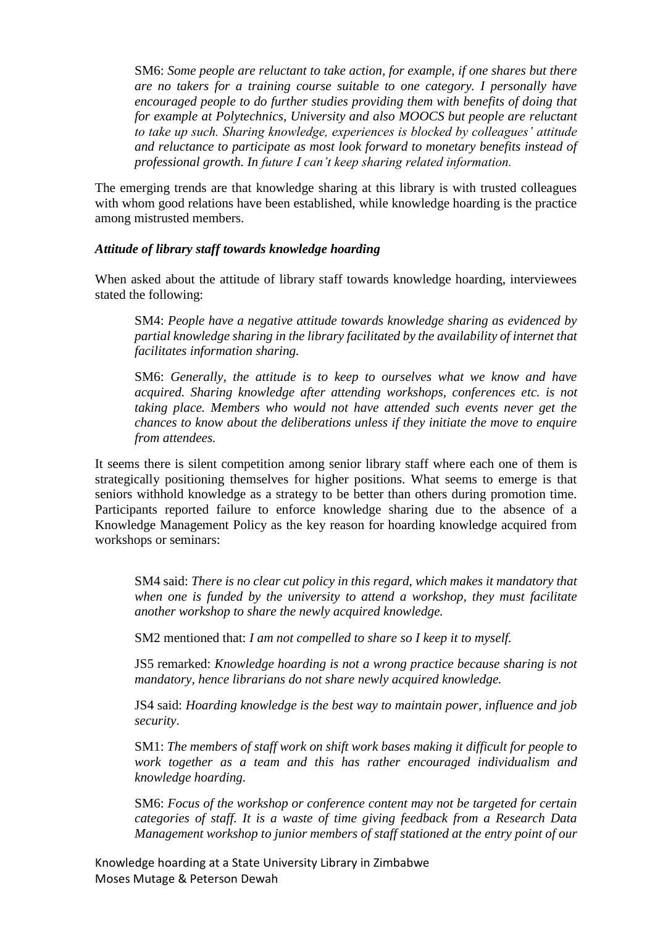SM6: *Some people are reluctant to take action, for example, if one shares but there are no takers for a training course suitable to one category. I personally have encouraged people to do further studies providing them with benefits of doing that for example at Polytechnics, University and also MOOCS but people are reluctant to take up such. Sharing knowledge, experiences is blocked by colleagues' attitude and reluctance to participate as most look forward to monetary benefits instead of professional growth. In future I can't keep sharing related information.*

The emerging trends are that knowledge sharing at this library is with trusted colleagues with whom good relations have been established, while knowledge hoarding is the practice among mistrusted members.

#### *Attitude of library staff towards knowledge hoarding*

When asked about the attitude of library staff towards knowledge hoarding, interviewees stated the following:

SM4: *People have a negative attitude towards knowledge sharing as evidenced by partial knowledge sharing in the library facilitated by the availability of internet that facilitates information sharing.*

SM6: *Generally, the attitude is to keep to ourselves what we know and have acquired. Sharing knowledge after attending workshops, conferences etc. is not taking place. Members who would not have attended such events never get the chances to know about the deliberations unless if they initiate the move to enquire from attendees.*

It seems there is silent competition among senior library staff where each one of them is strategically positioning themselves for higher positions. What seems to emerge is that seniors withhold knowledge as a strategy to be better than others during promotion time. Participants reported failure to enforce knowledge sharing due to the absence of a Knowledge Management Policy as the key reason for hoarding knowledge acquired from workshops or seminars:

SM4 said: *There is no clear cut policy in this regard, which makes it mandatory that when one is funded by the university to attend a workshop, they must facilitate another workshop to share the newly acquired knowledge.*

SM2 mentioned that: *I am not compelled to share so I keep it to myself.*

JS5 remarked: *Knowledge hoarding is not a wrong practice because sharing is not mandatory, hence librarians do not share newly acquired knowledge.* 

JS4 said: *Hoarding knowledge is the best way to maintain power, influence and job security*.

SM1: *The members of staff work on shift work bases making it difficult for people to work together as a team and this has rather encouraged individualism and knowledge hoarding.*

SM6: *Focus of the workshop or conference content may not be targeted for certain categories of staff. It is a waste of time giving feedback from a Research Data Management workshop to junior members of staff stationed at the entry point of our*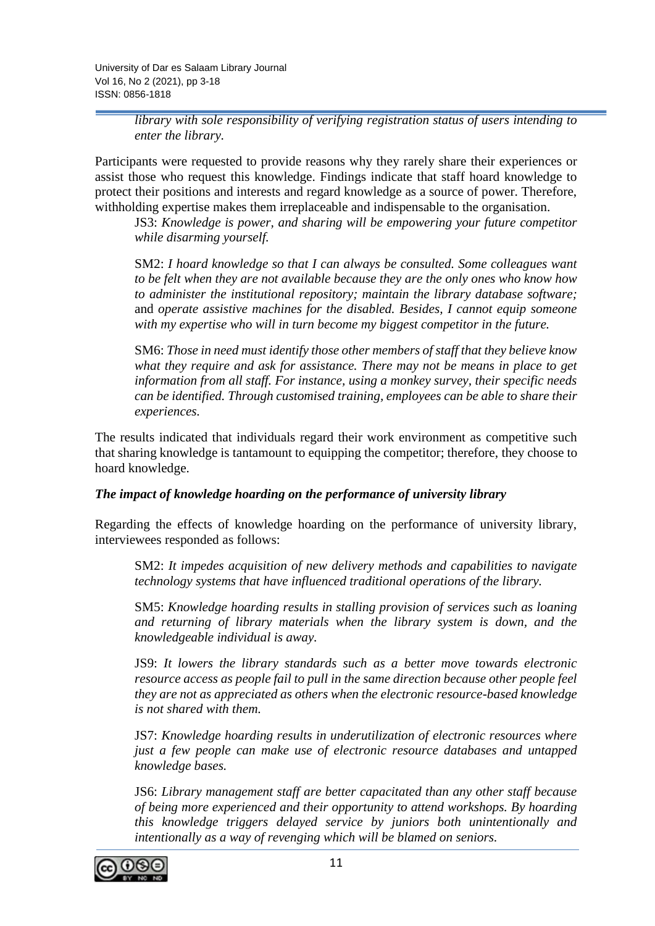*library with sole responsibility of verifying registration status of users intending to enter the library.*

Participants were requested to provide reasons why they rarely share their experiences or assist those who request this knowledge. Findings indicate that staff hoard knowledge to protect their positions and interests and regard knowledge as a source of power. Therefore, withholding expertise makes them irreplaceable and indispensable to the organisation.

JS3: *Knowledge is power, and sharing will be empowering your future competitor while disarming yourself.*

SM2: *I hoard knowledge so that I can always be consulted. Some colleagues want to be felt when they are not available because they are the only ones who know how to administer the institutional repository; maintain the library database software;* and *operate assistive machines for the disabled. Besides, I cannot equip someone with my expertise who will in turn become my biggest competitor in the future.*

SM6: *Those in need must identify those other members of staff that they believe know what they require and ask for assistance. There may not be means in place to get information from all staff. For instance, using a monkey survey, their specific needs can be identified. Through customised training, employees can be able to share their experiences.*

The results indicated that individuals regard their work environment as competitive such that sharing knowledge is tantamount to equipping the competitor; therefore, they choose to hoard knowledge.

### *The impact of knowledge hoarding on the performance of university library*

Regarding the effects of knowledge hoarding on the performance of university library, interviewees responded as follows:

SM2: *It impedes acquisition of new delivery methods and capabilities to navigate technology systems that have influenced traditional operations of the library.*

SM5: *Knowledge hoarding results in stalling provision of services such as loaning and returning of library materials when the library system is down, and the knowledgeable individual is away.*

JS9: *It lowers the library standards such as a better move towards electronic resource access as people fail to pull in the same direction because other people feel they are not as appreciated as others when the electronic resource-based knowledge is not shared with them.*

JS7: *Knowledge hoarding results in underutilization of electronic resources where just a few people can make use of electronic resource databases and untapped knowledge bases.* 

JS6: *Library management staff are better capacitated than any other staff because of being more experienced and their opportunity to attend workshops. By hoarding this knowledge triggers delayed service by juniors both unintentionally and intentionally as a way of revenging which will be blamed on seniors.*

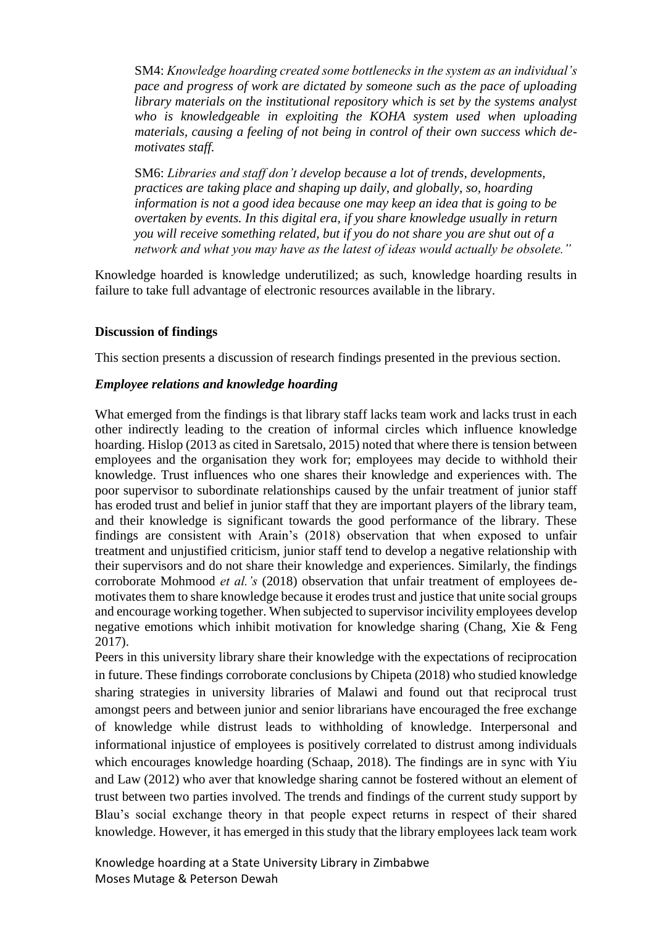SM4: *Knowledge hoarding created some bottlenecks in the system as an individual's pace and progress of work are dictated by someone such as the pace of uploading library materials on the institutional repository which is set by the systems analyst who is knowledgeable in exploiting the KOHA system used when uploading materials, causing a feeling of not being in control of their own success which demotivates staff.*

SM6: *Libraries and staff don't develop because a lot of trends, developments, practices are taking place and shaping up daily, and globally, so, hoarding information is not a good idea because one may keep an idea that is going to be overtaken by events. In this digital era, if you share knowledge usually in return you will receive something related, but if you do not share you are shut out of a network and what you may have as the latest of ideas would actually be obsolete."* 

Knowledge hoarded is knowledge underutilized; as such, knowledge hoarding results in failure to take full advantage of electronic resources available in the library.

### **Discussion of findings**

This section presents a discussion of research findings presented in the previous section.

### *Employee relations and knowledge hoarding*

What emerged from the findings is that library staff lacks team work and lacks trust in each other indirectly leading to the creation of informal circles which influence knowledge hoarding. Hislop (2013 as cited in Saretsalo, 2015) noted that where there is tension between employees and the organisation they work for; employees may decide to withhold their knowledge. Trust influences who one shares their knowledge and experiences with. The poor supervisor to subordinate relationships caused by the unfair treatment of junior staff has eroded trust and belief in junior staff that they are important players of the library team, and their knowledge is significant towards the good performance of the library. These findings are consistent with Arain's (2018) observation that when exposed to unfair treatment and unjustified criticism, junior staff tend to develop a negative relationship with their supervisors and do not share their knowledge and experiences. Similarly, the findings corroborate Mohmood *et al.'s* (2018) observation that unfair treatment of employees demotivates them to share knowledge because it erodes trust and justice that unite social groups and encourage working together. When subjected to supervisor incivility employees develop negative emotions which inhibit motivation for knowledge sharing (Chang, Xie & Feng 2017).

Peers in this university library share their knowledge with the expectations of reciprocation in future. These findings corroborate conclusions by Chipeta (2018) who studied knowledge sharing strategies in university libraries of Malawi and found out that reciprocal trust amongst peers and between junior and senior librarians have encouraged the free exchange of knowledge while distrust leads to withholding of knowledge. Interpersonal and informational injustice of employees is positively correlated to distrust among individuals which encourages knowledge hoarding (Schaap, 2018). The findings are in sync with Yiu and Law (2012) who aver that knowledge sharing cannot be fostered without an element of trust between two parties involved. The trends and findings of the current study support by Blau's social exchange theory in that people expect returns in respect of their shared knowledge. However, it has emerged in this study that the library employees lack team work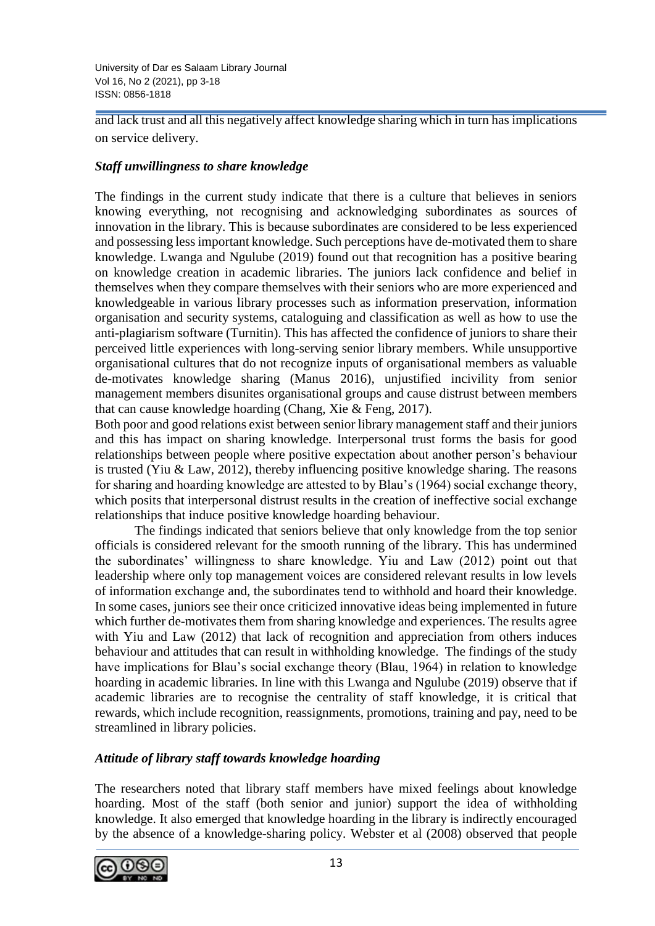and lack trust and all this negatively affect knowledge sharing which in turn has implications on service delivery.

## *Staff unwillingness to share knowledge*

The findings in the current study indicate that there is a culture that believes in seniors knowing everything, not recognising and acknowledging subordinates as sources of innovation in the library. This is because subordinates are considered to be less experienced and possessing less important knowledge. Such perceptions have de-motivated them to share knowledge. Lwanga and Ngulube (2019) found out that recognition has a positive bearing on knowledge creation in academic libraries. The juniors lack confidence and belief in themselves when they compare themselves with their seniors who are more experienced and knowledgeable in various library processes such as information preservation, information organisation and security systems, cataloguing and classification as well as how to use the anti-plagiarism software (Turnitin). This has affected the confidence of juniors to share their perceived little experiences with long-serving senior library members. While unsupportive organisational cultures that do not recognize inputs of organisational members as valuable de-motivates knowledge sharing (Manus 2016), unjustified incivility from senior management members disunites organisational groups and cause distrust between members that can cause knowledge hoarding (Chang, Xie & Feng, 2017).

Both poor and good relations exist between senior library management staff and their juniors and this has impact on sharing knowledge. Interpersonal trust forms the basis for good relationships between people where positive expectation about another person's behaviour is trusted (Yiu & Law, 2012), thereby influencing positive knowledge sharing. The reasons for sharing and hoarding knowledge are attested to by Blau's (1964) social exchange theory, which posits that interpersonal distrust results in the creation of ineffective social exchange relationships that induce positive knowledge hoarding behaviour.

The findings indicated that seniors believe that only knowledge from the top senior officials is considered relevant for the smooth running of the library. This has undermined the subordinates' willingness to share knowledge. Yiu and Law (2012) point out that leadership where only top management voices are considered relevant results in low levels of information exchange and, the subordinates tend to withhold and hoard their knowledge. In some cases, juniors see their once criticized innovative ideas being implemented in future which further de-motivates them from sharing knowledge and experiences. The results agree with Yiu and Law (2012) that lack of recognition and appreciation from others induces behaviour and attitudes that can result in withholding knowledge. The findings of the study have implications for Blau's social exchange theory (Blau, 1964) in relation to knowledge hoarding in academic libraries. In line with this Lwanga and Ngulube (2019) observe that if academic libraries are to recognise the centrality of staff knowledge, it is critical that rewards, which include recognition, reassignments, promotions, training and pay, need to be streamlined in library policies.

## *Attitude of library staff towards knowledge hoarding*

The researchers noted that library staff members have mixed feelings about knowledge hoarding. Most of the staff (both senior and junior) support the idea of withholding knowledge. It also emerged that knowledge hoarding in the library is indirectly encouraged by the absence of a knowledge-sharing policy. Webster et al (2008) observed that people

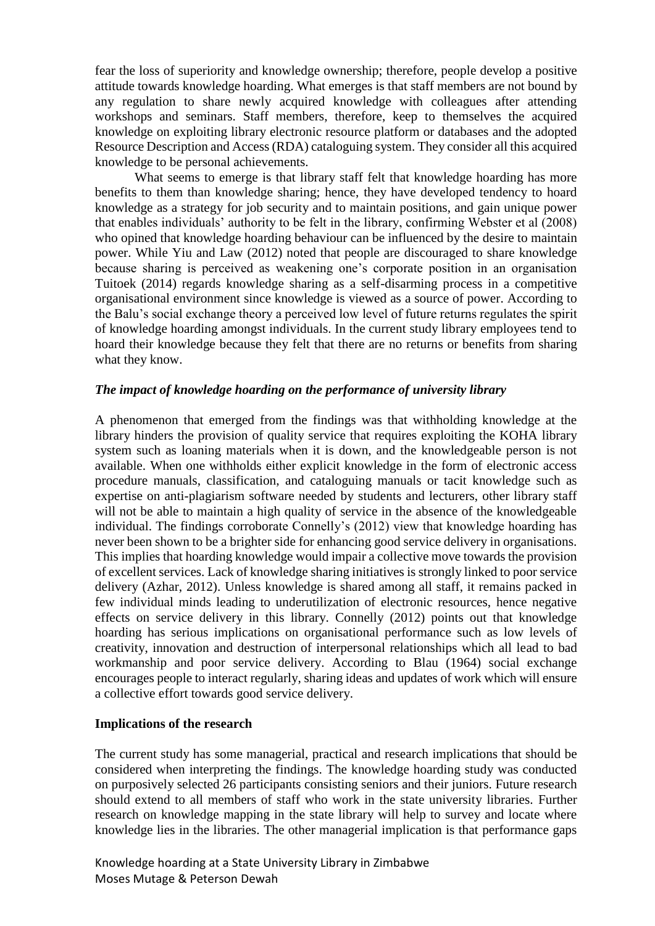fear the loss of superiority and knowledge ownership; therefore, people develop a positive attitude towards knowledge hoarding. What emerges is that staff members are not bound by any regulation to share newly acquired knowledge with colleagues after attending workshops and seminars. Staff members, therefore, keep to themselves the acquired knowledge on exploiting library electronic resource platform or databases and the adopted Resource Description and Access (RDA) cataloguing system. They consider all this acquired knowledge to be personal achievements.

What seems to emerge is that library staff felt that knowledge hoarding has more benefits to them than knowledge sharing; hence, they have developed tendency to hoard knowledge as a strategy for job security and to maintain positions, and gain unique power that enables individuals' authority to be felt in the library, confirming Webster et al (2008) who opined that knowledge hoarding behaviour can be influenced by the desire to maintain power. While Yiu and Law (2012) noted that people are discouraged to share knowledge because sharing is perceived as weakening one's corporate position in an organisation Tuitoek (2014) regards knowledge sharing as a self-disarming process in a competitive organisational environment since knowledge is viewed as a source of power. According to the Balu's social exchange theory a perceived low level of future returns regulates the spirit of knowledge hoarding amongst individuals. In the current study library employees tend to hoard their knowledge because they felt that there are no returns or benefits from sharing what they know.

#### *The impact of knowledge hoarding on the performance of university library*

A phenomenon that emerged from the findings was that withholding knowledge at the library hinders the provision of quality service that requires exploiting the KOHA library system such as loaning materials when it is down, and the knowledgeable person is not available. When one withholds either explicit knowledge in the form of electronic access procedure manuals, classification, and cataloguing manuals or tacit knowledge such as expertise on anti-plagiarism software needed by students and lecturers, other library staff will not be able to maintain a high quality of service in the absence of the knowledgeable individual. The findings corroborate Connelly's (2012) view that knowledge hoarding has never been shown to be a brighter side for enhancing good service delivery in organisations. This implies that hoarding knowledge would impair a collective move towards the provision of excellent services. Lack of knowledge sharing initiatives is strongly linked to poor service delivery (Azhar, 2012). Unless knowledge is shared among all staff, it remains packed in few individual minds leading to underutilization of electronic resources, hence negative effects on service delivery in this library. Connelly (2012) points out that knowledge hoarding has serious implications on organisational performance such as low levels of creativity, innovation and destruction of interpersonal relationships which all lead to bad workmanship and poor service delivery. According to Blau (1964) social exchange encourages people to interact regularly, sharing ideas and updates of work which will ensure a collective effort towards good service delivery.

#### **Implications of the research**

The current study has some managerial, practical and research implications that should be considered when interpreting the findings. The knowledge hoarding study was conducted on purposively selected 26 participants consisting seniors and their juniors. Future research should extend to all members of staff who work in the state university libraries. Further research on knowledge mapping in the state library will help to survey and locate where knowledge lies in the libraries. The other managerial implication is that performance gaps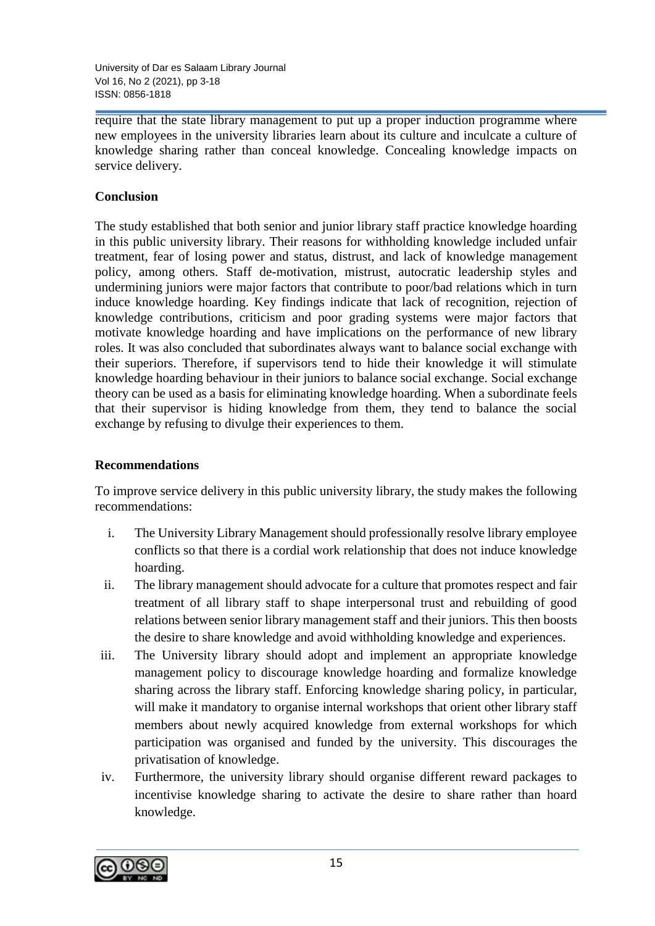University of Dar es Salaam Library Journal Vol 16, No 2 (2021), pp 3-18 ISSN: 0856-1818

require that the state library management to put up a proper induction programme where new employees in the university libraries learn about its culture and inculcate a culture of knowledge sharing rather than conceal knowledge. Concealing knowledge impacts on service delivery.

### **Conclusion**

The study established that both senior and junior library staff practice knowledge hoarding in this public university library. Their reasons for withholding knowledge included unfair treatment, fear of losing power and status, distrust, and lack of knowledge management policy, among others. Staff de-motivation, mistrust, autocratic leadership styles and undermining juniors were major factors that contribute to poor/bad relations which in turn induce knowledge hoarding. Key findings indicate that lack of recognition, rejection of knowledge contributions, criticism and poor grading systems were major factors that motivate knowledge hoarding and have implications on the performance of new library roles. It was also concluded that subordinates always want to balance social exchange with their superiors. Therefore, if supervisors tend to hide their knowledge it will stimulate knowledge hoarding behaviour in their juniors to balance social exchange. Social exchange theory can be used as a basis for eliminating knowledge hoarding. When a subordinate feels that their supervisor is hiding knowledge from them, they tend to balance the social exchange by refusing to divulge their experiences to them.

## **Recommendations**

To improve service delivery in this public university library, the study makes the following recommendations:

- i. The University Library Management should professionally resolve library employee conflicts so that there is a cordial work relationship that does not induce knowledge hoarding.
- ii. The library management should advocate for a culture that promotes respect and fair treatment of all library staff to shape interpersonal trust and rebuilding of good relations between senior library management staff and their juniors. This then boosts the desire to share knowledge and avoid withholding knowledge and experiences.
- iii. The University library should adopt and implement an appropriate knowledge management policy to discourage knowledge hoarding and formalize knowledge sharing across the library staff. Enforcing knowledge sharing policy, in particular, will make it mandatory to organise internal workshops that orient other library staff members about newly acquired knowledge from external workshops for which participation was organised and funded by the university. This discourages the privatisation of knowledge.
- iv. Furthermore, the university library should organise different reward packages to incentivise knowledge sharing to activate the desire to share rather than hoard knowledge.

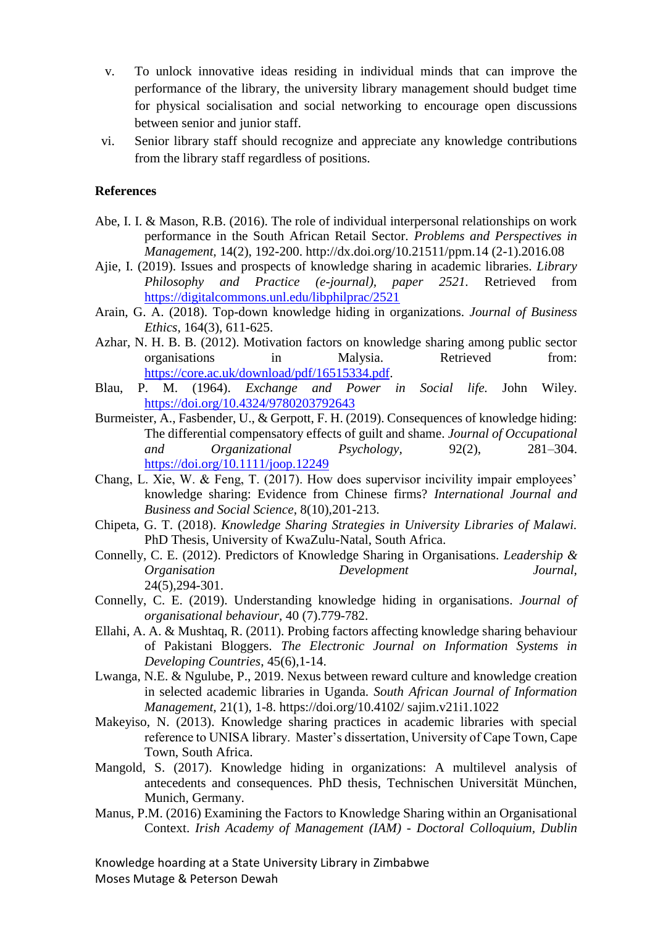- v. To unlock innovative ideas residing in individual minds that can improve the performance of the library, the university library management should budget time for physical socialisation and social networking to encourage open discussions between senior and junior staff.
- vi. Senior library staff should recognize and appreciate any knowledge contributions from the library staff regardless of positions.

#### **References**

- Abe, I. I. & Mason, R.B. (2016). The role of individual interpersonal relationships on work performance in the South African Retail Sector. *Problems and Perspectives in Management,* 14(2), 192-200. http://dx.doi.org/10.21511/ppm.14 (2-1).2016.08
- Ajie, I. (2019). Issues and prospects of knowledge sharing in academic libraries. *Library Philosophy and Practice (e-journal), paper 2521.* Retrieved from <https://digitalcommons.unl.edu/libphilprac/2521>
- Arain, G. A. (2018). Top-down knowledge hiding in organizations. *Journal of Business Ethics*, 164(3), 611-625.
- Azhar, N. H. B. B. (2012). Motivation factors on knowledge sharing among public sector organisations in Malysia. Retrieved from: [https://core.ac.uk/download/pdf/16515334.pdf.](https://core.ac.uk/download/pdf/16515334.pdf)
- Blau, P. M. (1964). *Exchange and Power in Social life.* John Wiley. <https://doi.org/10.4324/9780203792643>
- Burmeister, A., Fasbender, U., & Gerpott, F. H. (2019). Consequences of knowledge hiding: The differential compensatory effects of guilt and shame. *Journal of Occupational and Organizational Psychology,* 92(2), 281–304. <https://doi.org/10.1111/joop.12249>
- Chang, L. Xie, W. & Feng, T. (2017). How does supervisor incivility impair employees' knowledge sharing: Evidence from Chinese firms? *International Journal and Business and Social Science*, 8(10),201-213.
- Chipeta, G. T. (2018). *Knowledge Sharing Strategies in University Libraries of Malawi.* PhD Thesis, University of KwaZulu-Natal, South Africa.
- Connelly, C. E. (2012). Predictors of Knowledge Sharing in Organisations. *Leadership & Organisation Development Journal,* 24(5),294-301.
- Connelly, C. E. (2019). Understanding knowledge hiding in organisations. *Journal of organisational behaviour,* 40 (7).779-782.
- Ellahi, A. A. & Mushtaq, R. (2011). Probing factors affecting knowledge sharing behaviour of Pakistani Bloggers. *The Electronic Journal on Information Systems in Developing Countries*, 45(6),1-14.
- Lwanga, N.E. & Ngulube, P., 2019. Nexus between reward culture and knowledge creation in selected academic libraries in Uganda. *South African Journal of Information Management,* 21(1), 1-8. https://doi.org/10.4102/ sajim.v21i1.1022
- Makeyiso, N. (2013). Knowledge sharing practices in academic libraries with special reference to UNISA library. Master's dissertation, University of Cape Town, Cape Town, South Africa.
- Mangold, S. (2017). Knowledge hiding in organizations: A multilevel analysis of antecedents and consequences. PhD thesis, Technischen Universität München, Munich, Germany.
- Manus, P.M. (2016) Examining the Factors to Knowledge Sharing within an Organisational Context. *Irish Academy of Management (IAM) - Doctoral Colloquium, Dublin*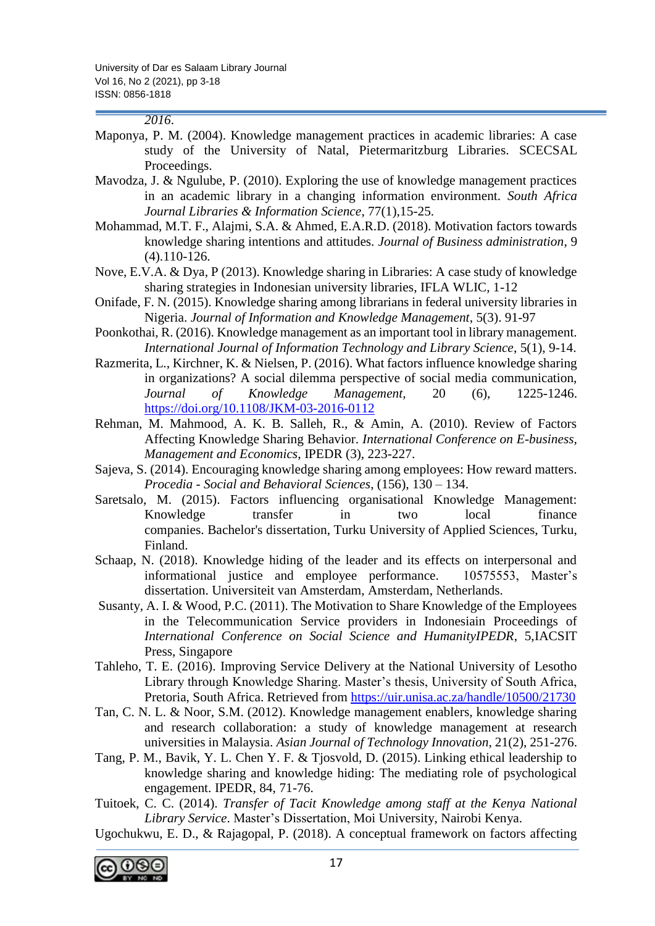### *2016*.

- Maponya, P. M. (2004). Knowledge management practices in academic libraries: A case study of the University of Natal, Pietermaritzburg Libraries. SCECSAL Proceedings.
- Mavodza, J. & Ngulube, P. (2010). Exploring the use of knowledge management practices in an academic library in a changing information environment. *South Africa Journal Libraries & Information Science*, 77(1),15-25.
- Mohammad, M.T. F., Alajmi, S.A. & Ahmed, E.A.R.D. (2018). Motivation factors towards knowledge sharing intentions and attitudes. *Journal of Business administration*, 9 (4).110-126.
- Nove, E.V.A. & Dya, P (2013). Knowledge sharing in Libraries: A case study of knowledge sharing strategies in Indonesian university libraries, IFLA WLIC, 1-12
- Onifade, F. N. (2015). Knowledge sharing among librarians in federal university libraries in Nigeria. *Journal of Information and Knowledge Management*, 5(3). 91-97
- Poonkothai, R. (2016). Knowledge management as an important tool in library management. *International Journal of Information Technology and Library Science*, 5(1), 9-14.
- Razmerita, L., Kirchner, K. & Nielsen, P. (2016). What factors influence knowledge sharing in organizations? A social dilemma perspective of social media communication, *Journal of Knowledge Management,* 20 (6), 1225-1246. <https://doi.org/10.1108/JKM-03-2016-0112>
- Rehman, M. Mahmood, A. K. B. Salleh, R., & Amin, A. (2010). Review of Factors Affecting Knowledge Sharing Behavior. *International Conference on E-business, Management and Economics*, IPEDR (3), 223-227.
- Sajeva, S. (2014). Encouraging knowledge sharing among employees: How reward matters. *Procedia - Social and Behavioral Sciences*, (156), 130 – 134.
- Saretsalo, M. (2015). Factors influencing organisational Knowledge Management: Knowledge transfer in two local finance companies. Bachelor's dissertation, Turku University of Applied Sciences, Turku, Finland.
- Schaap, N. (2018). Knowledge hiding of the leader and its effects on interpersonal and informational justice and employee performance. 10575553, Master's dissertation. Universiteit van Amsterdam, Amsterdam, Netherlands.
- Susanty, A. I. & Wood, P.C. (2011). The Motivation to Share Knowledge of the Employees in the Telecommunication Service providers in Indonesiain Proceedings of *International Conference on Social Science and HumanityIPEDR*, 5,IACSIT Press, Singapore
- Tahleho, T. E. (2016). Improving Service Delivery at the National University of Lesotho Library through Knowledge Sharing. Master's thesis, University of South Africa, Pretoria, South Africa. Retrieved from<https://uir.unisa.ac.za/handle/10500/21730>
- Tan, C. N. L. & Noor, S.M. (2012). Knowledge management enablers, knowledge sharing and research collaboration: a study of knowledge management at research universities in Malaysia. *Asian Journal of Technology Innovation*, 21(2), 251-276.
- Tang, P. M., Bavik, Y. L. Chen Y. F. & Tjosvold, D. (2015). Linking ethical leadership to knowledge sharing and knowledge hiding: The mediating role of psychological engagement. IPEDR, 84, 71-76.
- Tuitoek, C. C. (2014). *Transfer of Tacit Knowledge among staff at the Kenya National Library Service*. Master's Dissertation, Moi University, Nairobi Kenya.
- Ugochukwu, E. D., & Rajagopal, P. (2018). A conceptual framework on factors affecting